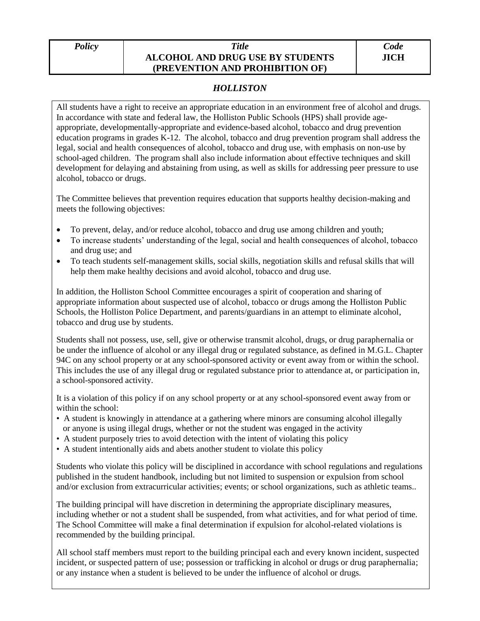## *Policy Title* **ALCOHOL AND DRUG USE BY STUDENTS (PREVENTION AND PROHIBITION OF)**

## *HOLLISTON*

All students have a right to receive an appropriate education in an environment free of alcohol and drugs. In accordance with state and federal law, the Holliston Public Schools (HPS) shall provide ageappropriate, developmentally-appropriate and evidence-based alcohol, tobacco and drug prevention education programs in grades K-12. The alcohol, tobacco and drug prevention program shall address the legal, social and health consequences of alcohol, tobacco and drug use, with emphasis on non-use by school-aged children. The program shall also include information about effective techniques and skill development for delaying and abstaining from using, as well as skills for addressing peer pressure to use alcohol, tobacco or drugs.

The Committee believes that prevention requires education that supports healthy decision-making and meets the following objectives:

- To prevent, delay, and/or reduce alcohol, tobacco and drug use among children and youth;
- To increase students' understanding of the legal, social and health consequences of alcohol, tobacco and drug use; and
- To teach students self-management skills, social skills, negotiation skills and refusal skills that will help them make healthy decisions and avoid alcohol, tobacco and drug use.

In addition, the Holliston School Committee encourages a spirit of cooperation and sharing of appropriate information about suspected use of alcohol, tobacco or drugs among the Holliston Public Schools, the Holliston Police Department, and parents/guardians in an attempt to eliminate alcohol, tobacco and drug use by students.

Students shall not possess, use, sell, give or otherwise transmit alcohol, drugs, or drug paraphernalia or be under the influence of alcohol or any illegal drug or regulated substance, as defined in M.G.L. Chapter 94C on any school property or at any school-sponsored activity or event away from or within the school. This includes the use of any illegal drug or regulated substance prior to attendance at, or participation in, a school-sponsored activity.

It is a violation of this policy if on any school property or at any school-sponsored event away from or within the school:

- A student is knowingly in attendance at a gathering where minors are consuming alcohol illegally or anyone is using illegal drugs, whether or not the student was engaged in the activity
- A student purposely tries to avoid detection with the intent of violating this policy
- A student intentionally aids and abets another student to violate this policy

Students who violate this policy will be disciplined in accordance with school regulations and regulations published in the student handbook, including but not limited to suspension or expulsion from school and/or exclusion from extracurricular activities; events; or school organizations, such as athletic teams..

The building principal will have discretion in determining the appropriate disciplinary measures, including whether or not a student shall be suspended, from what activities, and for what period of time. The School Committee will make a final determination if expulsion for alcohol-related violations is recommended by the building principal.

All school staff members must report to the building principal each and every known incident, suspected incident, or suspected pattern of use; possession or trafficking in alcohol or drugs or drug paraphernalia; or any instance when a student is believed to be under the influence of alcohol or drugs.